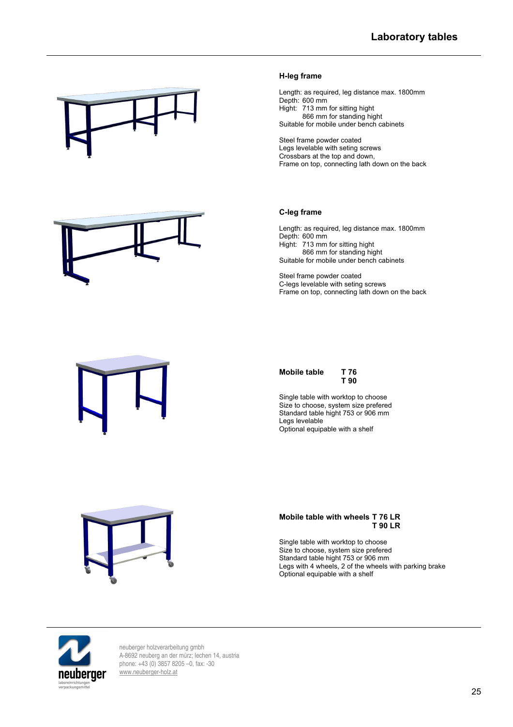

# **H-leg frame**

Length: as required, leg distance max. 1800mm Depth: 600 mm Hight: 713 mm for sitting hight 866 mm for standing hight Suitable for mobile under bench cabinets

Steel frame powder coated Legs levelable with seting screws Crossbars at the top and down, Frame on top, connecting lath down on the back

# **C-leg frame**

Length: as required, leg distance max. 1800mm Depth: 600 mm Hight: 713 mm for sitting hight 866 mm for standing hight Suitable for mobile under bench cabinets

Steel frame powder coated C-legs levelable with seting screws Frame on top, connecting lath down on the back



| Mobile table | T 76 |
|--------------|------|
|              | T 90 |

Single table with worktop to choose Size to choose, system size prefered Standard table hight 753 or 906 mm Legs levelable Optional equipable with a shelf



#### **Mobile table with wheels T 76 LR T 90 LR**

Single table with worktop to choose Size to choose, system size prefered Standard table hight 753 or 906 mm Legs with 4 wheels, 2 of the wheels with parking brake Optional equipable with a shelf



neuberger holzverarbeitung gmbh A-8692 neuberg an der mürz; lechen 14, austria phone: +43 (0) 3857 8205 –0, fax: -30 [www.neuberger-holz.at](http://www.neuberger-holz.at/)